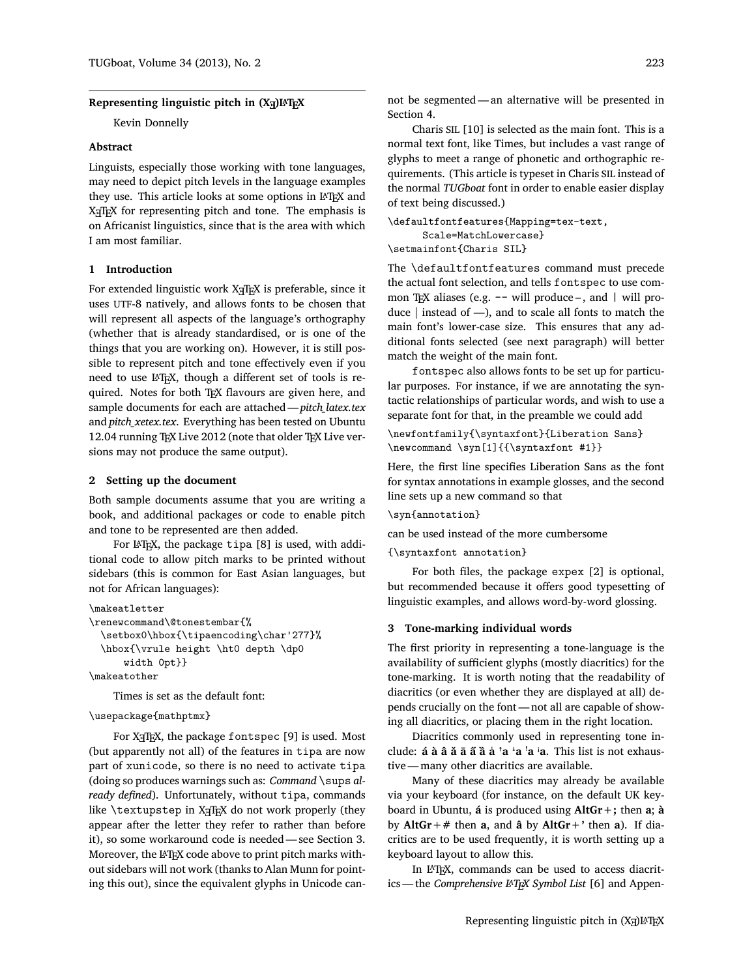# **Representing linguistic pitch in (X )L<sup>E</sup> <sup>A</sup>TEX**

Kevin Donnelly

### **Abstract**

Linguists, especially those working with tone languages, may need to depict pitch levels in the language examples they use. This article looks at some options in LATEX and X<sub>I</sub>TEX for representing pitch and tone. The emphasis is on Africanist linguistics, since that is the area with which I am most familiar.

# **1 Introduction**

For extended linguistic work X<sub>I</sub>TEX is preferable, since it uses UTF-8 natively, and allows fonts to be chosen that will represent all aspects of the language's orthography (whether that is already standardised, or is one of the things that you are working on). However, it is still possible to represent pitch and tone effectively even if you need to use LATEX, though a different set of tools is required. Notes for both T<sub>E</sub>X flavours are given here, and sample documents for each are attached —*pitch\_latex.tex* and *pitch\_xetex.tex*. Everything has been tested on Ubuntu 12.04 running TEX Live 2012 (note that older TEX Live versions may not produce the same output).

# **2 Setting up the document**

Both sample documents assume that you are writing a book, and additional packages or code to enable pitch and tone to be represented are then added.

For LAT<sub>EX</sub>, the package tipa [8] is used, with additional code to allow pitch marks to be printed without sidebars (this is common for East Asian languages, but not for African languages):

```
\makeatletter
\renewcommand\@tonestembar{%
  \setbox0\hbox{\tipaencoding\char'277}%
  \hbox{\vrule height \ht0 depth \dp0
      width 0pt}}
\makeatother
```
Times is set as the default font:

#### \usepackage{mathptmx}

For X<sub>H</sub>T<sub>E</sub>X, the package fontspec [9] is used. Most (but apparently not all) of the features in tipa are now part of xunicode, so there is no need to activate tipa (doing so produces warnings such as: *Command* \sups *already defined*). Unfortunately, without tipa, commands like  $\text{textup}$  and  $X \notin \mathbb{R}$  do not work properly (they appear after the letter they refer to rather than before it), so some workaround code is needed— see Section 3. Moreover, the LATEX code above to print pitch marks without sidebars will not work (thanks to Alan Munn for pointing this out), since the equivalent glyphs in Unicode can-

not be segmented — an alternative will be presented in Section 4.

Charis SIL [10] is selected as the main font. This is a normal text font, like Times, but includes a vast range of glyphs to meet a range of phonetic and orthographic requirements. (This article is typeset in Charis SIL instead of the normal *TUGboat* font in order to enable easier display of text being discussed.)

```
\defaultfontfeatures{Mapping=tex-text,
      Scale=MatchLowercase}
\setmainfont{Charis SIL}
```
The \defaultfontfeatures command must precede the actual font selection, and tells fontspec to use common TEX aliases (e.g. -- will produce-, and | will produce  $|$  instead of  $-$ ), and to scale all fonts to match the main font's lower-case size. This ensures that any additional fonts selected (see next paragraph) will better match the weight of the main font.

fontspec also allows fonts to be set up for particular purposes. For instance, if we are annotating the syntactic relationships of particular words, and wish to use a separate font for that, in the preamble we could add

```
\newfontfamily{\syntaxfont}{Liberation Sans}
\newcommand \syn[1]{{\syntaxfont #1}}
```
Here, the first line specifies Liberation Sans as the font for syntax annotations in example glosses, and the second line sets up a new command so that

\syn{annotation}

can be used instead of the more cumbersome

{\syntaxfont annotation}

For both files, the package expex [2] is optional, but recommended because it offers good typesetting of linguistic examples, and allows word-by-word glossing.

#### **3 Tone-marking individual words**

The first priority in representing a tone-language is the availability of sufficient glyphs (mostly diacritics) for the tone-marking. It is worth noting that the readability of diacritics (or even whether they are displayed at all) depends crucially on the font— not all are capable of showing all diacritics, or placing them in the right location.

Diacritics commonly used in representing tone include: **á à â ǎ ā a̋ ȁ a̍ ꜛa ꜜa ꜝa ꜞa**. This list is not exhaustive— many other diacritics are available.

Many of these diacritics may already be available via your keyboard (for instance, on the default UK keyboard in Ubuntu, **á** is produced using **AltGr+;** then **a**; **à** by **AltGr+#** then **a**, and **â** by **AltGr+'** then **a**). If diacritics are to be used frequently, it is worth setting up a keyboard layout to allow this.

In IATEX, commands can be used to access diacritics — the *Comprehensive L<sup>A</sup>T<sub>F</sub>X</sub> Symbol List* [6] and Appen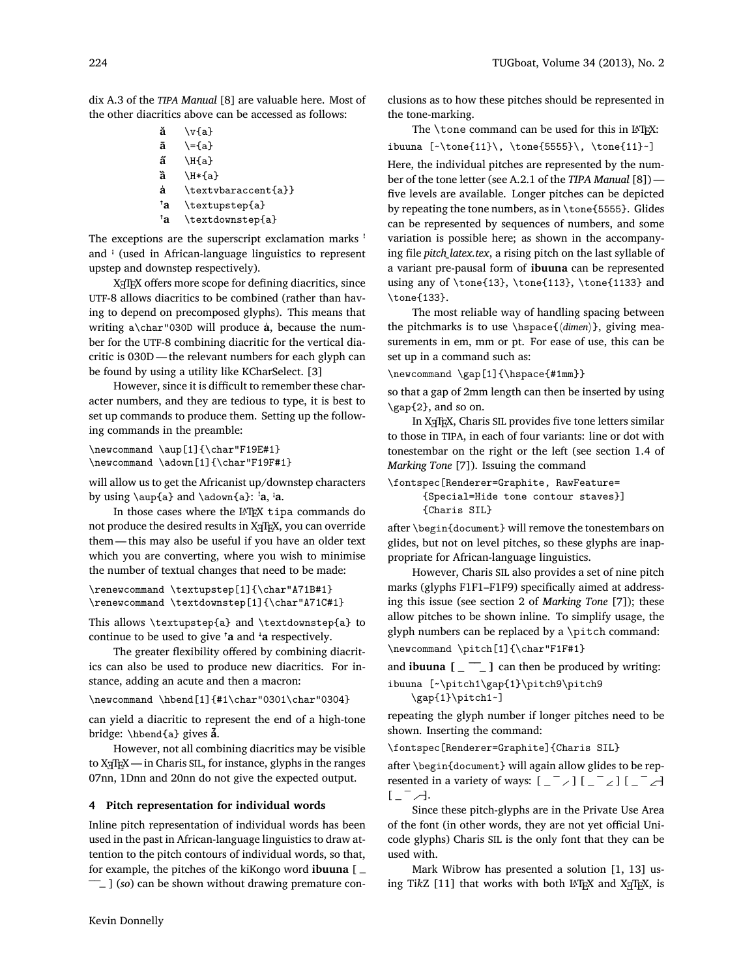dix A.3 of the *TIPA Manual* [8] are valuable here. Most of the other diacritics above can be accessed as follows:

- **ǎ** \v{a}
- **ā** \={a}
- **a̋** \H{a}
- **ȁ** \H\*{a}
- **a̍** \textvbaraccent{a}}
- **ꜛa** \textupstep{a}
- **ꜛa** \textdownstep{a}

The exceptions are the superscript exclamation marks <sup>1</sup> and *i* (used in African-language linguistics to represent upstep and downstep respectively).

X<sub>T</sub>T<sub>E</sub>X offers more scope for defining diacritics, since UTF-8 allows diacritics to be combined (rather than having to depend on precomposed glyphs). This means that writing a\char"030D will produce **a̍**, because the number for the UTF-8 combining diacritic for the vertical diacritic is 030D — the relevant numbers for each glyph can be found by using a utility like KCharSelect. [3]

However, since it is difficult to remember these character numbers, and they are tedious to type, it is best to set up commands to produce them. Setting up the following commands in the preamble:

```
\newcommand \aup[1]{\char"F19E#1}
\newcommand \adown[1]{\char"F19F#1}
```
will allow us to get the Africanist up/downstep characters by using  $\alpha$  and  $\ad{a}$ :  $'a$ ,  $'a$ .

In those cases where the LAT<sub>E</sub>X tipa commands do not produce the desired results in X<sub>T</sub>IEX, you can override them— this may also be useful if you have an older text which you are converting, where you wish to minimise the number of textual changes that need to be made:

\renewcommand \textupstep[1]{\char"A71B#1} \renewcommand \textdownstep[1]{\char"A71C#1}

This allows \textupstep{a} and \textdownstep{a} to continue to be used to give **ꜛa** and **ꜜa** respectively.

The greater flexibility offered by combining diacritics can also be used to produce new diacritics. For instance, adding an acute and then a macron:

\newcommand \hbend[1]{#1\char"0301\char"0304}

can yield a diacritic to represent the end of a high-tone bridge: \hbend{a} gives **á̄**.

However, not all combining diacritics may be visible to  $X \times TEX$ — in Charis SIL, for instance, glyphs in the ranges 07nn, 1Dnn and 20nn do not give the expected output.

#### **4 Pitch representation for individual words**

Inline pitch representation of individual words has been used in the past in African-language linguistics to draw attention to the pitch contours of individual words, so that, for example, the pitches of the kiKongo word **ibuuna** [  $\bar{z}$ ] (*so*) can be shown without drawing premature conclusions as to how these pitches should be represented in the tone-marking.

The \tone command can be used for this in LATEX: ibuuna  $[\cdot\tanh{11}\, \tanh{5555}\, \tanh{11}-]$ Here, the individual pitches are represented by the number of the tone letter (see A.2.1 of the *TIPA Manual* [8]) five levels are available. Longer pitches can be depicted by repeating the tone numbers, as in \tone{5555}. Glides can be represented by sequences of numbers, and some variation is possible here; as shown in the accompanying file *pitch\_latex.tex*, a rising pitch on the last syllable of a variant pre-pausal form of **ibuuna** can be represented using any of \tone{13}, \tone{113}, \tone{1133} and

The most reliable way of handling spacing between the pitchmarks is to use \hspace{*⟨dimen⟩*}, giving measurements in em, mm or pt. For ease of use, this can be set up in a command such as:

\newcommand \gap[1]{\hspace{#1mm}}

\tone{133}.

so that a gap of 2mm length can then be inserted by using \gap{2}, and so on.

In X<sub>H</sub>TEX, Charis SIL provides five tone letters similar to those in TIPA, in each of four variants: line or dot with tonestembar on the right or the left (see section 1.4 of *Marking Tone* [7]). Issuing the command

```
\fontspec[Renderer=Graphite, RawFeature=
      {Special=Hide tone contour staves}]
      {Charis SIL}
```
after \begin{document} will remove the tonestembars on glides, but not on level pitches, so these glyphs are inappropriate for African-language linguistics.

However, Charis SIL also provides a set of nine pitch marks (glyphs F1F1–F1F9) specifically aimed at addressing this issue (see section 2 of *Marking Tone* [7]); these allow pitches to be shown inline. To simplify usage, the glyph numbers can be replaced by a \pitch command:

\newcommand \pitch[1]{\char"F1F#1}

and **ibuuna**  $\begin{bmatrix} 2 & -1 \\ 0 & 3 \end{bmatrix}$  can then be produced by writing: ibuuna [~\pitch1\gap{1}\pitch9\pitch9

\gap{1}\pitch1~]

repeating the glyph number if longer pitches need to be shown. Inserting the command:

\fontspec[Renderer=Graphite]{Charis SIL}

after \begin{document} will again allow glides to be represented in a variety of ways:  $\begin{bmatrix} 1 - 1 \\ 1 - 1 \end{bmatrix} \begin{bmatrix} 1 \\ 1 - 1 \end{bmatrix}$  $\left[ \begin{array}{cc} - & \end{array} \right]$ .

Since these pitch-glyphs are in the Private Use Area of the font (in other words, they are not yet official Unicode glyphs) Charis SIL is the only font that they can be used with.

Mark Wibrow has presented a solution [1, 13] using TikZ [11] that works with both L<sup>AT</sup>FX and X<sub>T</sub>TFX, is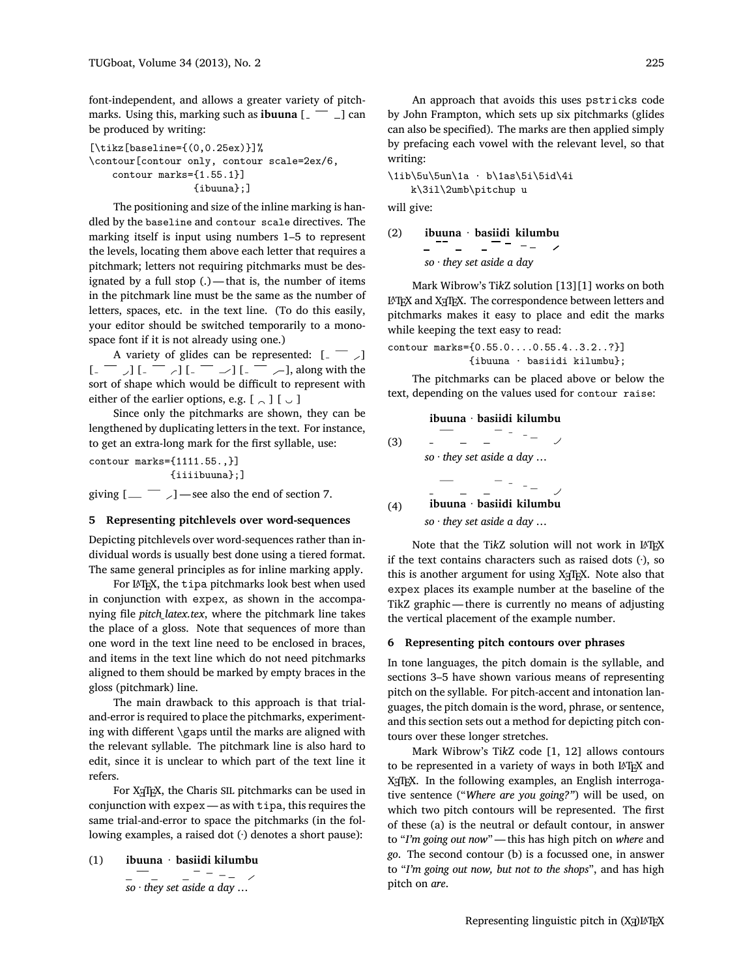font-independent, and allows a greater variety of pitchmarks. Using this, marking such as **ibuuna**  $\begin{bmatrix} 1 & -1 \end{bmatrix}$  can be produced by writing:

```
[\text{tikz}[baseline = {(0, 0.25ex)}]\contour[contour only, contour scale=2ex/6,
    contour marks={1.55.1}]
                   {ibuuna};]
```
The positioning and size of the inline marking is handled by the baseline and contour scale directives. The marking itself is input using numbers 1–5 to represent the levels, locating them above each letter that requires a pitchmark; letters not requiring pitchmarks must be designated by a full stop (.) — that is, the number of items in the pitchmark line must be the same as the number of letters, spaces, etc. in the text line. (To do this easily, your editor should be switched temporarily to a monospace font if it is not already using one.)

A variety of glides can be represented:  $[- -]$  $\left[ \begin{array}{cc} - & \\ - \end{array} \right] \left[ \begin{array}{cc} - & \\ - \end{array} \right] \left[ \begin{array}{cc} - & \\ - \end{array} \right] \left[ \begin{array}{cc} - & \\ - \end{array} \right]$ , along with the sort of shape which would be difficult to represent with either of the earlier options, e.g.  $[\Box] [\Box]$ 

Since only the pitchmarks are shown, they can be lengthened by duplicating letters in the text. For instance, to get an extra-long mark for the first syllable, use:

contour marks={1111.55.,}] {iiiibuuna};]

giving  $[\_\_$  –  $]$  – see also the end of section 7.

# **5 Representing pitchlevels over word-sequences**

Depicting pitchlevels over word-sequences rather than individual words is usually best done using a tiered format. The same general principles as for inline marking apply.

For LATEX, the tipa pitchmarks look best when used in conjunction with expex, as shown in the accompanying file *pitch\_latex.tex*, where the pitchmark line takes the place of a gloss. Note that sequences of more than one word in the text line need to be enclosed in braces, and items in the text line which do not need pitchmarks aligned to them should be marked by empty braces in the gloss (pitchmark) line.

The main drawback to this approach is that trialand-error is required to place the pitchmarks, experimenting with different \gaps until the marks are aligned with the relevant syllable. The pitchmark line is also hard to edit, since it is unclear to which part of the text line it refers.

For X<sub>7</sub>T<sub>F</sub>X, the Charis SIL pitchmarks can be used in conjunction with expex — as with tipa, this requires the same trial-and-error to space the pitchmarks (in the following examples, a raised dot (·) denotes a short pause):

(1) **ibuuna · basiidi kilumbu**

  $\frac{1}{2}$  = -- / *so · they set aside a day …*

An approach that avoids this uses pstricks code by John Frampton, which sets up six pitchmarks (glides can also be specified). The marks are then applied simply by prefacing each vowel with the relevant level, so that writing:

\1ib\5u\5un\1a · b\1as\5i\5id\4i k\3il\2umb\pitchup u

will give:

(2) **ibuuna · basiidi kilumbu** *so · they set aside a day*

Mark Wibrow's Ti*k*Z solution [13][1] works on both LATEX and XTIEX. The correspondence between letters and pitchmarks makes it easy to place and edit the marks while keeping the text easy to read:

contour marks={0.55.0....0.55.4..3.2..?}] {ibuuna · basiidi kilumbu};

The pitchmarks can be placed above or below the text, depending on the values used for contour raise:

#### .**ibuuna · basiidi kilumbu**

| (3) |                                 |  |  |
|-----|---------------------------------|--|--|
|     | so $\cdot$ they set aside a day |  |  |
|     |                                 |  |  |
|     |                                 |  |  |
| (4) | ibuuna · basiidi kilumbu        |  |  |
|     |                                 |  |  |

*so · they set aside a day …*

Note that the TikZ solution will not work in LATEX if the text contains characters such as raised dots  $(\cdot)$ , so this is another argument for using X<sub>HIE</sub>X. Note also that expex places its example number at the baseline of the TikZ graphic— there is currently no means of adjusting the vertical placement of the example number.

### **6 Representing pitch contours over phrases**

In tone languages, the pitch domain is the syllable, and sections 3–5 have shown various means of representing pitch on the syllable. For pitch-accent and intonation languages, the pitch domain is the word, phrase, or sentence, and this section sets out a method for depicting pitch contours over these longer stretches.

Mark Wibrow's Ti*k*Z code [1, 12] allows contours to be represented in a variety of ways in both LATEX and X<sub>H</sub>T<sub>E</sub>X. In the following examples, an English interrogative sentence ("*Where are you going?"*) will be used, on which two pitch contours will be represented. The first of these (a) is the neutral or default contour, in answer to "*I'm going out now*"— this has high pitch on *where* and *go*. The second contour (b) is a focussed one, in answer to "*I'm going out now, but not to the shops*", and has high pitch on *are*.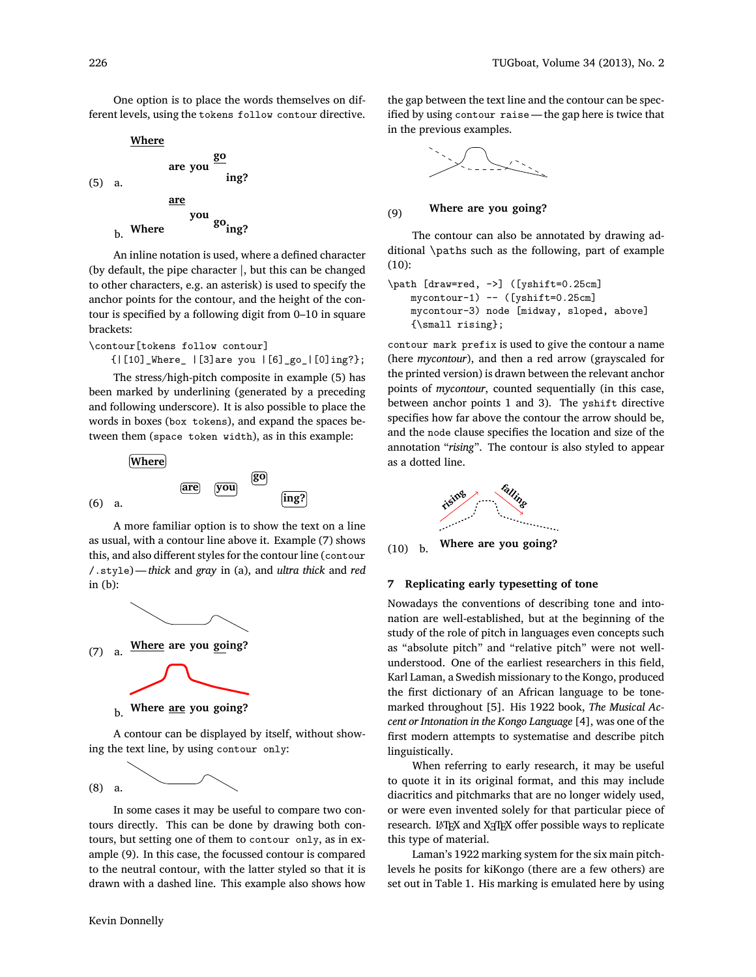One option is to place the words themselves on different levels, using the tokens follow contour directive.

 $(5)$  a. **Where are you go ing?** b. Where **are you go ing?**

An inline notation is used, where a defined character (by default, the pipe character |, but this can be changed to other characters, e.g. an asterisk) is used to specify the anchor points for the contour, and the height of the contour is specified by a following digit from 0–10 in square brackets:

\contour[tokens follow contour]

{|[10]\_Where\_ |[3]are you |[6]\_go\_|[0]ing?};

The stress/high-pitch composite in example (5) has been marked by underlining (generated by a preceding and following underscore). It is also possible to place the words in boxes (box tokens), and expand the spaces between them (space token width), as in this example:



A more familiar option is to show the text on a line as usual, with a contour line above it. Example (7) shows this, and also different styles for the contour line (contour /.style)— *thick* and *gray* in (a), and *ultra thick* and *red* in (b):



**b.** Where <u>are</u> you going?

A contour can be displayed by itself, without showing the text line, by using contour only:

(8) a.

In some cases it may be useful to compare two contours directly. This can be done by drawing both contours, but setting one of them to contour only, as in example (9). In this case, the focussed contour is compared to the neutral contour, with the latter styled so that it is drawn with a dashed line. This example also shows how the gap between the text line and the contour can be specified by using contour raise — the gap here is twice that in the previous examples.



# (9) .**Where are you going?**

The contour can also be annotated by drawing additional \paths such as the following, part of example (10):

```
\path [draw=red, ->] ([yshift=0.25cm]
   mycontour-1) -- ([yshift=0.25cm]
   mycontour-3) node [midway, sloped, above]
   {\small rising};
```
contour mark prefix is used to give the contour a name (here *mycontour*), and then a red arrow (grayscaled for the printed version) is drawn between the relevant anchor points of *mycontour*, counted sequentially (in this case, between anchor points 1 and 3). The yshift directive specifies how far above the contour the arrow should be, and the node clause specifies the location and size of the annotation "*rising*". The contour is also styled to appear as a dotted line.



(10) b. .**Where are you going?**

# **7 Replicating early typesetting of tone**

Nowadays the conventions of describing tone and intonation are well-established, but at the beginning of the study of the role of pitch in languages even concepts such as "absolute pitch" and "relative pitch" were not wellunderstood. One of the earliest researchers in this field, Karl Laman, a Swedish missionary to the Kongo, produced the first dictionary of an African language to be tonemarked throughout [5]. His 1922 book, *The Musical Accent or Intonation in the Kongo Language* [4], was one of the first modern attempts to systematise and describe pitch linguistically.

When referring to early research, it may be useful to quote it in its original format, and this may include diacritics and pitchmarks that are no longer widely used, or were even invented solely for that particular piece of research. L<sup>AT</sup>EX and X<sub>H</sub>TEX offer possible ways to replicate this type of material.

Laman's 1922 marking system for the six main pitchlevels he posits for kiKongo (there are a few others) are set out in Table 1. His marking is emulated here by using